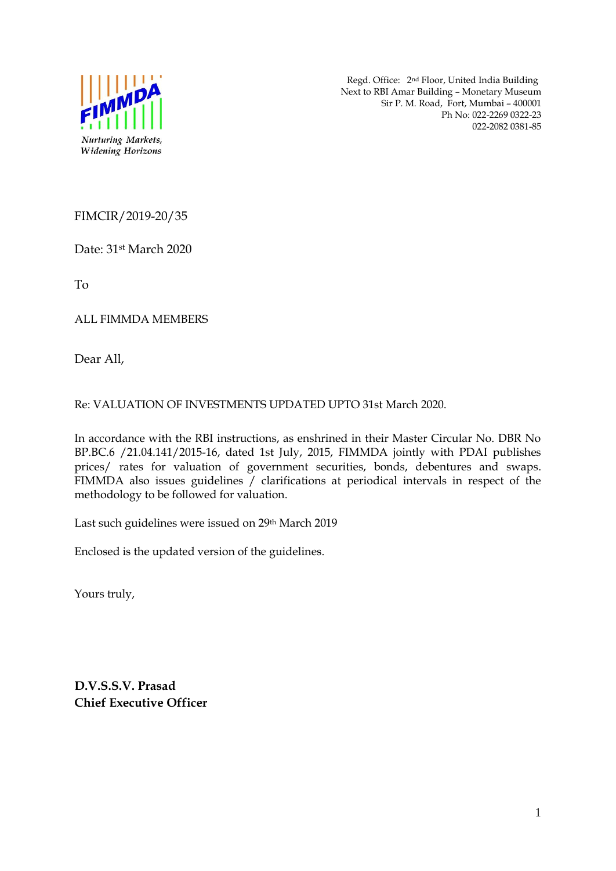

 Regd. Office: 2nd Floor, United India Building Next to RBI Amar Building – Monetary Museum Sir P. M. Road, Fort, Mumbai – 400001 Ph No: 022-2269 0322-23 022-2082 0381-85

FIMCIR/2019-20/35

Date: 31st March 2020

To

ALL FIMMDA MEMBERS

Dear All,

Re: VALUATION OF INVESTMENTS UPDATED UPTO 31st March 2020.

In accordance with the RBI instructions, as enshrined in their Master Circular No. DBR No BP.BC.6 /21.04.141/2015-16, dated 1st July, 2015, FIMMDA jointly with PDAI publishes prices/ rates for valuation of government securities, bonds, debentures and swaps. FIMMDA also issues guidelines / clarifications at periodical intervals in respect of the methodology to be followed for valuation.

Last such guidelines were issued on 29th March 2019

Enclosed is the updated version of the guidelines.

Yours truly,

**D.V.S.S.V. Prasad Chief Executive Officer**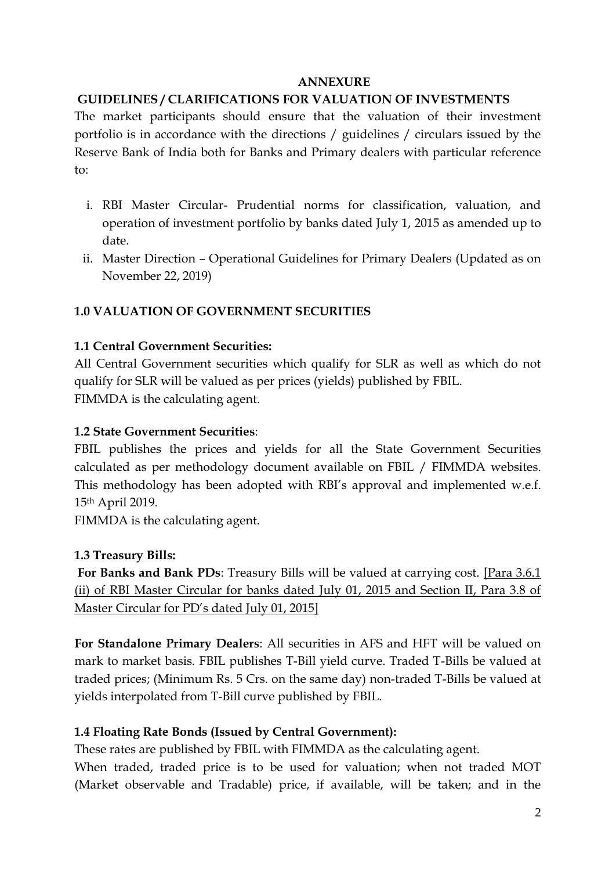### **ANNEXURE**

## **GUIDELINES / CLARIFICATIONS FOR VALUATION OF INVESTMENTS**

The market participants should ensure that the valuation of their investment portfolio is in accordance with the directions / guidelines / circulars issued by the Reserve Bank of India both for Banks and Primary dealers with particular reference to:

- i. RBI Master Circular- Prudential norms for classification, valuation, and operation of investment portfolio by banks dated July 1, 2015 as amended up to date.
- ii. Master Direction Operational Guidelines for Primary Dealers (Updated as on November 22, 2019)

# **1.0 VALUATION OF GOVERNMENT SECURITIES**

## **1.1 Central Government Securities:**

All Central Government securities which qualify for SLR as well as which do not qualify for SLR will be valued as per prices (yields) published by FBIL. FIMMDA is the calculating agent.

## **1.2 State Government Securities**:

FBIL publishes the prices and yields for all the State Government Securities calculated as per methodology document available on FBIL / FIMMDA websites. This methodology has been adopted with RBI's approval and implemented w.e.f. 15th April 2019.

FIMMDA is the calculating agent.

## **1.3 Treasury Bills:**

**For Banks and Bank PDs**: Treasury Bills will be valued at carrying cost. [Para 3.6.1 (ii) of RBI Master Circular for banks dated July 01, 2015 and Section II, Para 3.8 of Master Circular for PD's dated July 01, 2015]

**For Standalone Primary Dealers**: All securities in AFS and HFT will be valued on mark to market basis. FBIL publishes T-Bill yield curve. Traded T-Bills be valued at traded prices; (Minimum Rs. 5 Crs. on the same day) non-traded T-Bills be valued at yields interpolated from T-Bill curve published by FBIL.

## **1.4 Floating Rate Bonds (Issued by Central Government):**

These rates are published by FBIL with FIMMDA as the calculating agent.

When traded, traded price is to be used for valuation; when not traded MOT (Market observable and Tradable) price, if available, will be taken; and in the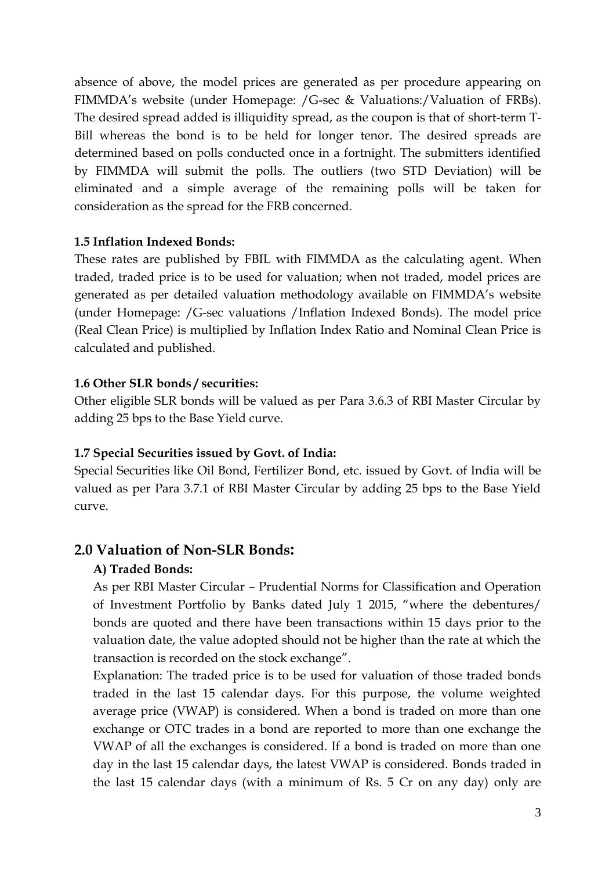absence of above, the model prices are generated as per procedure appearing on FIMMDA's website (under Homepage: /G-sec & Valuations:/Valuation of FRBs). The desired spread added is illiquidity spread, as the coupon is that of short-term T-Bill whereas the bond is to be held for longer tenor. The desired spreads are determined based on polls conducted once in a fortnight. The submitters identified by FIMMDA will submit the polls. The outliers (two STD Deviation) will be eliminated and a simple average of the remaining polls will be taken for consideration as the spread for the FRB concerned.

## **1.5 Inflation Indexed Bonds:**

These rates are published by FBIL with FIMMDA as the calculating agent. When traded, traded price is to be used for valuation; when not traded, model prices are generated as per detailed valuation methodology available on FIMMDA's website (under Homepage: /G-sec valuations /Inflation Indexed Bonds). The model price (Real Clean Price) is multiplied by Inflation Index Ratio and Nominal Clean Price is calculated and published.

### **1.6 Other SLR bonds / securities:**

Other eligible SLR bonds will be valued as per Para 3.6.3 of RBI Master Circular by adding 25 bps to the Base Yield curve.

### **1.7 Special Securities issued by Govt. of India:**

Special Securities like Oil Bond, Fertilizer Bond, etc. issued by Govt. of India will be valued as per Para 3.7.1 of RBI Master Circular by adding 25 bps to the Base Yield curve.

## **2.0 Valuation of Non-SLR Bonds:**

### **A) Traded Bonds:**

As per RBI Master Circular – Prudential Norms for Classification and Operation of Investment Portfolio by Banks dated July 1 2015, "where the debentures/ bonds are quoted and there have been transactions within 15 days prior to the valuation date, the value adopted should not be higher than the rate at which the transaction is recorded on the stock exchange".

Explanation: The traded price is to be used for valuation of those traded bonds traded in the last 15 calendar days. For this purpose, the volume weighted average price (VWAP) is considered. When a bond is traded on more than one exchange or OTC trades in a bond are reported to more than one exchange the VWAP of all the exchanges is considered. If a bond is traded on more than one day in the last 15 calendar days, the latest VWAP is considered. Bonds traded in the last 15 calendar days (with a minimum of Rs. 5 Cr on any day) only are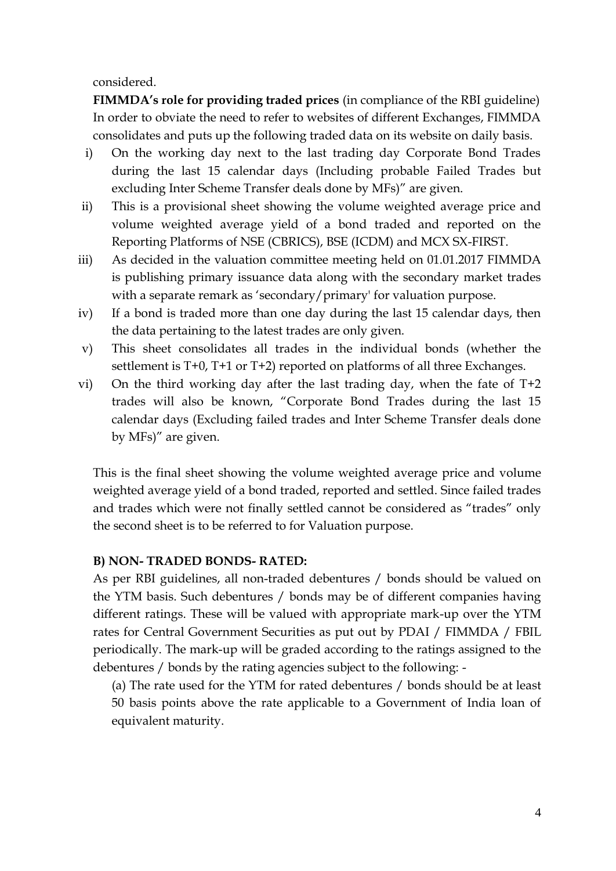considered.

**FIMMDA's role for providing traded prices** (in compliance of the RBI guideline) In order to obviate the need to refer to websites of different Exchanges, FIMMDA consolidates and puts up the following traded data on its website on daily basis.

- i) On the working day next to the last trading day Corporate Bond Trades during the last 15 calendar days (Including probable Failed Trades but excluding Inter Scheme Transfer deals done by MFs)" are given.
- ii) This is a provisional sheet showing the volume weighted average price and volume weighted average yield of a bond traded and reported on the Reporting Platforms of NSE (CBRICS), BSE (ICDM) and MCX SX-FIRST.
- iii) As decided in the valuation committee meeting held on 01.01.2017 FIMMDA is publishing primary issuance data along with the secondary market trades with a separate remark as 'secondary/primary' for valuation purpose.
- iv) If a bond is traded more than one day during the last 15 calendar days, then the data pertaining to the latest trades are only given.
- v) This sheet consolidates all trades in the individual bonds (whether the settlement is T+0, T+1 or T+2) reported on platforms of all three Exchanges.
- vi) On the third working day after the last trading day, when the fate of T+2 trades will also be known, "Corporate Bond Trades during the last 15 calendar days (Excluding failed trades and Inter Scheme Transfer deals done by MFs)" are given.

This is the final sheet showing the volume weighted average price and volume weighted average yield of a bond traded, reported and settled. Since failed trades and trades which were not finally settled cannot be considered as "trades" only the second sheet is to be referred to for Valuation purpose.

## **B) NON- TRADED BONDS- RATED:**

As per RBI guidelines, all non-traded debentures / bonds should be valued on the YTM basis. Such debentures / bonds may be of different companies having different ratings. These will be valued with appropriate mark-up over the YTM rates for Central Government Securities as put out by PDAI / FIMMDA / FBIL periodically. The mark-up will be graded according to the ratings assigned to the debentures / bonds by the rating agencies subject to the following: -

(a) The rate used for the YTM for rated debentures / bonds should be at least 50 basis points above the rate applicable to a Government of India loan of

equivalent maturity.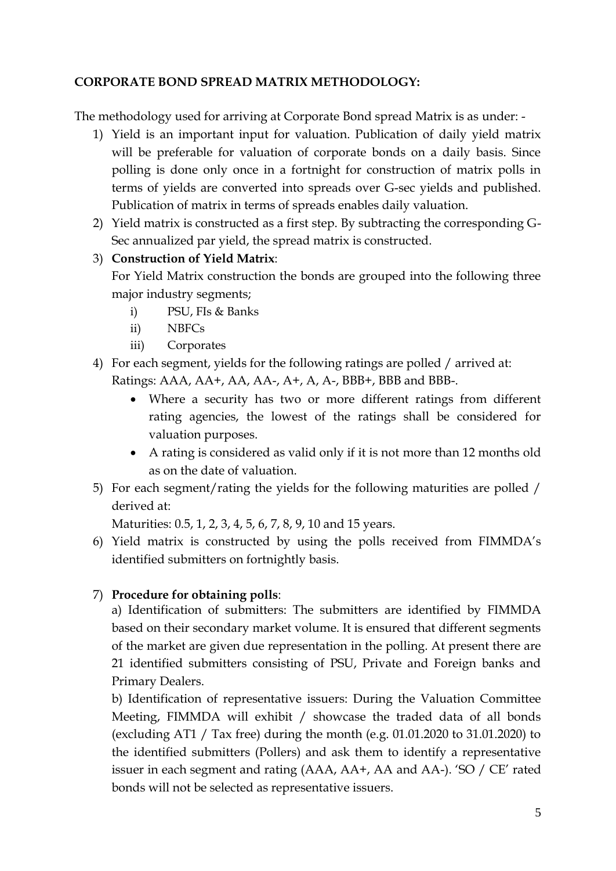## **CORPORATE BOND SPREAD MATRIX METHODOLOGY:**

The methodology used for arriving at Corporate Bond spread Matrix is as under: -

- 1) Yield is an important input for valuation. Publication of daily yield matrix will be preferable for valuation of corporate bonds on a daily basis. Since polling is done only once in a fortnight for construction of matrix polls in terms of yields are converted into spreads over G-sec yields and published. Publication of matrix in terms of spreads enables daily valuation.
- 2) Yield matrix is constructed as a first step. By subtracting the corresponding G-Sec annualized par yield, the spread matrix is constructed.

## 3) **Construction of Yield Matrix**:

For Yield Matrix construction the bonds are grouped into the following three major industry segments;

- i) PSU, FIs & Banks
- ii) NBFCs
- iii) Corporates
- 4) For each segment, yields for the following ratings are polled / arrived at: Ratings: AAA, AA+, AA, AA-, A+, A, A-, BBB+, BBB and BBB-.
	- Where a security has two or more different ratings from different rating agencies, the lowest of the ratings shall be considered for valuation purposes.
	- A rating is considered as valid only if it is not more than 12 months old as on the date of valuation.
- 5) For each segment/rating the yields for the following maturities are polled / derived at:

Maturities: 0.5, 1, 2, 3, 4, 5, 6, 7, 8, 9, 10 and 15 years.

6) Yield matrix is constructed by using the polls received from FIMMDA's identified submitters on fortnightly basis.

# 7) **Procedure for obtaining polls**:

a) Identification of submitters: The submitters are identified by FIMMDA based on their secondary market volume. It is ensured that different segments of the market are given due representation in the polling. At present there are 21 identified submitters consisting of PSU, Private and Foreign banks and Primary Dealers.

b) Identification of representative issuers: During the Valuation Committee Meeting, FIMMDA will exhibit / showcase the traded data of all bonds (excluding AT1 / Tax free) during the month (e.g. 01.01.2020 to 31.01.2020) to the identified submitters (Pollers) and ask them to identify a representative issuer in each segment and rating (AAA, AA+, AA and AA-). 'SO / CE' rated bonds will not be selected as representative issuers.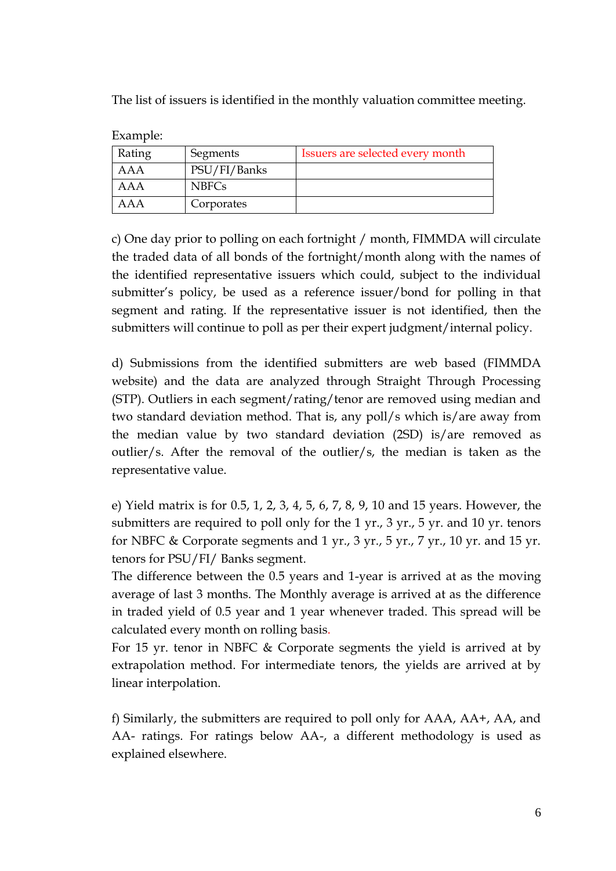The list of issuers is identified in the monthly valuation committee meeting.

| влашріс. |              |                                  |
|----------|--------------|----------------------------------|
| Rating   | Segments     | Issuers are selected every month |
| AAA      | PSU/FI/Banks |                                  |
| AAA      | <b>NBFCs</b> |                                  |
| AAA      | Corporates   |                                  |

Example:

c) One day prior to polling on each fortnight / month, FIMMDA will circulate the traded data of all bonds of the fortnight/month along with the names of the identified representative issuers which could, subject to the individual submitter's policy, be used as a reference issuer/bond for polling in that segment and rating. If the representative issuer is not identified, then the submitters will continue to poll as per their expert judgment/internal policy.

d) Submissions from the identified submitters are web based (FIMMDA website) and the data are analyzed through Straight Through Processing (STP). Outliers in each segment/rating/tenor are removed using median and two standard deviation method. That is, any poll/s which is/are away from the median value by two standard deviation (2SD) is/are removed as outlier/s. After the removal of the outlier/s, the median is taken as the representative value.

e) Yield matrix is for 0.5, 1, 2, 3, 4, 5, 6, 7, 8, 9, 10 and 15 years. However, the submitters are required to poll only for the 1 yr., 3 yr., 5 yr. and 10 yr. tenors for NBFC & Corporate segments and 1 yr., 3 yr., 5 yr., 7 yr., 10 yr. and 15 yr. tenors for PSU/FI/ Banks segment.

The difference between the 0.5 years and 1-year is arrived at as the moving average of last 3 months. The Monthly average is arrived at as the difference in traded yield of 0.5 year and 1 year whenever traded. This spread will be calculated every month on rolling basis.

For 15 yr. tenor in NBFC & Corporate segments the yield is arrived at by extrapolation method. For intermediate tenors, the yields are arrived at by linear interpolation.

f) Similarly, the submitters are required to poll only for AAA, AA+, AA, and AA- ratings. For ratings below AA-, a different methodology is used as explained elsewhere.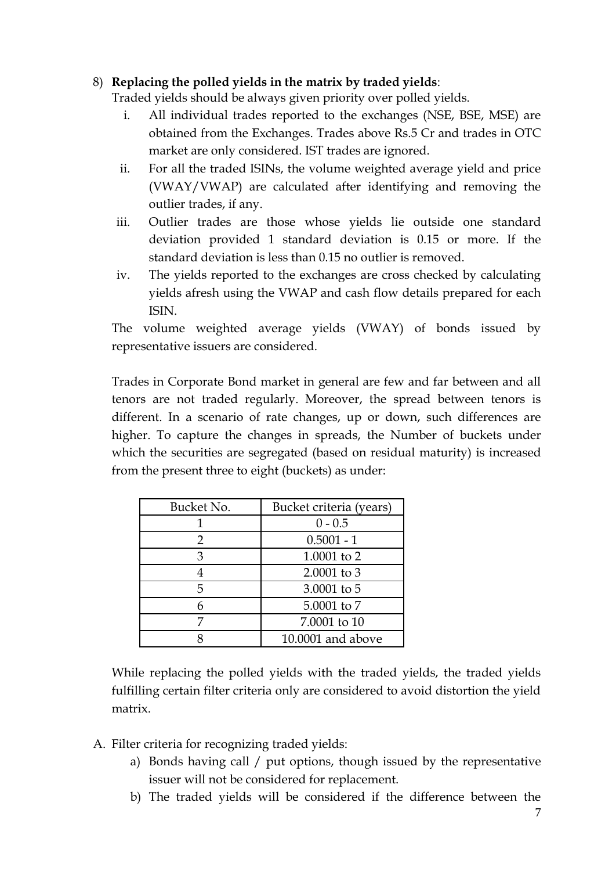## 8) **Replacing the polled yields in the matrix by traded yields**:

Traded yields should be always given priority over polled yields.

- i. All individual trades reported to the exchanges (NSE, BSE, MSE) are obtained from the Exchanges. Trades above Rs.5 Cr and trades in OTC market are only considered. IST trades are ignored.
- ii. For all the traded ISINs, the volume weighted average yield and price (VWAY/VWAP) are calculated after identifying and removing the outlier trades, if any.
- iii. Outlier trades are those whose yields lie outside one standard deviation provided 1 standard deviation is 0.15 or more. If the standard deviation is less than 0.15 no outlier is removed.
- iv. The yields reported to the exchanges are cross checked by calculating yields afresh using the VWAP and cash flow details prepared for each ISIN.

The volume weighted average yields (VWAY) of bonds issued by representative issuers are considered.

Trades in Corporate Bond market in general are few and far between and all tenors are not traded regularly. Moreover, the spread between tenors is different. In a scenario of rate changes, up or down, such differences are higher. To capture the changes in spreads, the Number of buckets under which the securities are segregated (based on residual maturity) is increased from the present three to eight (buckets) as under:

| Bucket No. | Bucket criteria (years) |  |
|------------|-------------------------|--|
|            | $0 - 0.5$               |  |
| 2          | $0.5001 - 1$            |  |
| κ          | 1.0001 to 2             |  |
|            | 2.0001 to 3             |  |
| 5          | 3.0001 to 5             |  |
| h          | 5.0001 to 7             |  |
|            | 7.0001 to 10            |  |
|            | 10.0001 and above       |  |

While replacing the polled yields with the traded yields, the traded yields fulfilling certain filter criteria only are considered to avoid distortion the yield matrix.

- A. Filter criteria for recognizing traded yields:
	- a) Bonds having call / put options, though issued by the representative issuer will not be considered for replacement.
	- b) The traded yields will be considered if the difference between the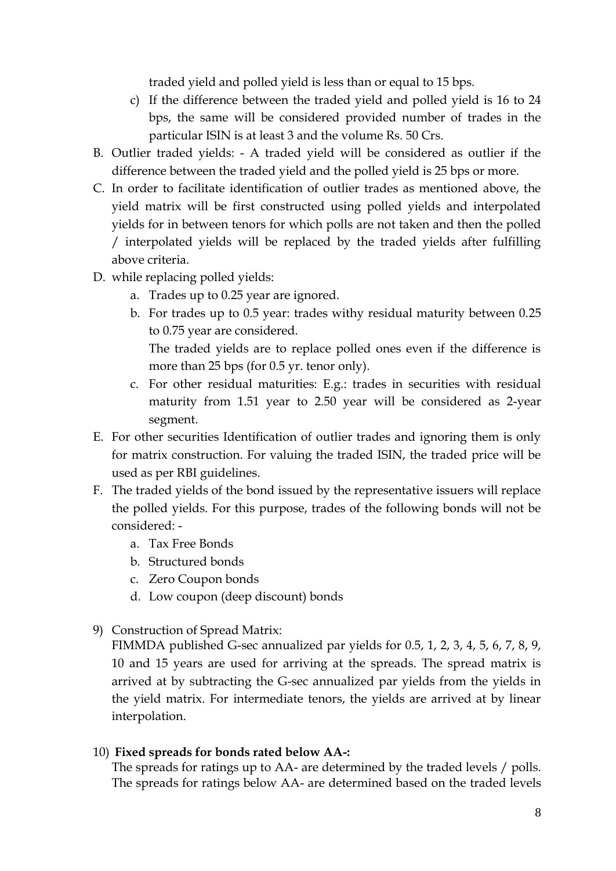traded yield and polled yield is less than or equal to 15 bps.

- c) If the difference between the traded yield and polled yield is 16 to 24 bps, the same will be considered provided number of trades in the particular ISIN is at least 3 and the volume Rs. 50 Crs.
- B. Outlier traded yields: A traded yield will be considered as outlier if the difference between the traded yield and the polled yield is 25 bps or more.
- C. In order to facilitate identification of outlier trades as mentioned above, the yield matrix will be first constructed using polled yields and interpolated yields for in between tenors for which polls are not taken and then the polled / interpolated yields will be replaced by the traded yields after fulfilling above criteria.
- D. while replacing polled yields:
	- a. Trades up to 0.25 year are ignored.
	- b. For trades up to 0.5 year: trades withy residual maturity between 0.25 to 0.75 year are considered.

The traded yields are to replace polled ones even if the difference is more than 25 bps (for 0.5 yr. tenor only).

- c. For other residual maturities: E.g.: trades in securities with residual maturity from 1.51 year to 2.50 year will be considered as 2-year segment.
- E. For other securities Identification of outlier trades and ignoring them is only for matrix construction. For valuing the traded ISIN, the traded price will be used as per RBI guidelines.
- F. The traded yields of the bond issued by the representative issuers will replace the polled yields. For this purpose, trades of the following bonds will not be considered:
	- a. Tax Free Bonds
	- b. Structured bonds
	- c. Zero Coupon bonds
	- d. Low coupon (deep discount) bonds
- 9) Construction of Spread Matrix:

FIMMDA published G-sec annualized par yields for 0.5, 1, 2, 3, 4, 5, 6, 7, 8, 9, 10 and 15 years are used for arriving at the spreads. The spread matrix is arrived at by subtracting the G-sec annualized par yields from the yields in the yield matrix. For intermediate tenors, the yields are arrived at by linear interpolation.

## 10) **Fixed spreads for bonds rated below AA-:**

The spreads for ratings up to AA- are determined by the traded levels / polls. The spreads for ratings below AA- are determined based on the traded levels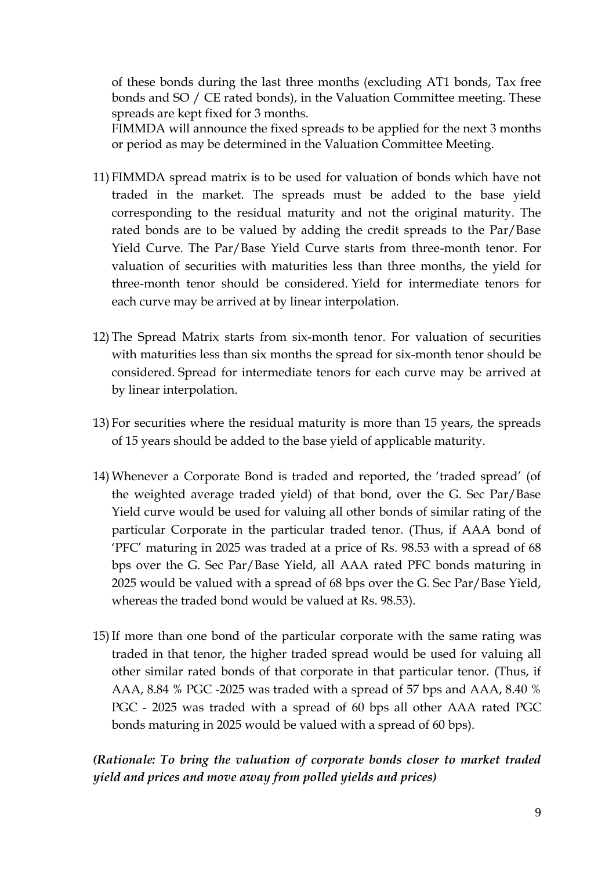of these bonds during the last three months (excluding AT1 bonds, Tax free bonds and SO / CE rated bonds), in the Valuation Committee meeting. These spreads are kept fixed for 3 months.

FIMMDA will announce the fixed spreads to be applied for the next 3 months or period as may be determined in the Valuation Committee Meeting.

- 11) FIMMDA spread matrix is to be used for valuation of bonds which have not traded in the market. The spreads must be added to the base yield corresponding to the residual maturity and not the original maturity. The rated bonds are to be valued by adding the credit spreads to the Par/Base Yield Curve. The Par/Base Yield Curve starts from three-month tenor. For valuation of securities with maturities less than three months, the yield for three-month tenor should be considered. Yield for intermediate tenors for each curve may be arrived at by linear interpolation.
- 12) The Spread Matrix starts from six-month tenor. For valuation of securities with maturities less than six months the spread for six-month tenor should be considered. Spread for intermediate tenors for each curve may be arrived at by linear interpolation.
- 13) For securities where the residual maturity is more than 15 years, the spreads of 15 years should be added to the base yield of applicable maturity.
- 14) Whenever a Corporate Bond is traded and reported, the 'traded spread' (of the weighted average traded yield) of that bond, over the G. Sec Par/Base Yield curve would be used for valuing all other bonds of similar rating of the particular Corporate in the particular traded tenor. (Thus, if AAA bond of 'PFC' maturing in 2025 was traded at a price of Rs. 98.53 with a spread of 68 bps over the G. Sec Par/Base Yield, all AAA rated PFC bonds maturing in 2025 would be valued with a spread of 68 bps over the G. Sec Par/Base Yield, whereas the traded bond would be valued at Rs. 98.53).
- 15)If more than one bond of the particular corporate with the same rating was traded in that tenor, the higher traded spread would be used for valuing all other similar rated bonds of that corporate in that particular tenor. (Thus, if AAA, 8.84 % PGC -2025 was traded with a spread of 57 bps and AAA, 8.40 % PGC - 2025 was traded with a spread of 60 bps all other AAA rated PGC bonds maturing in 2025 would be valued with a spread of 60 bps).

# *(Rationale: To bring the valuation of corporate bonds closer to market traded yield and prices and move away from polled yields and prices)*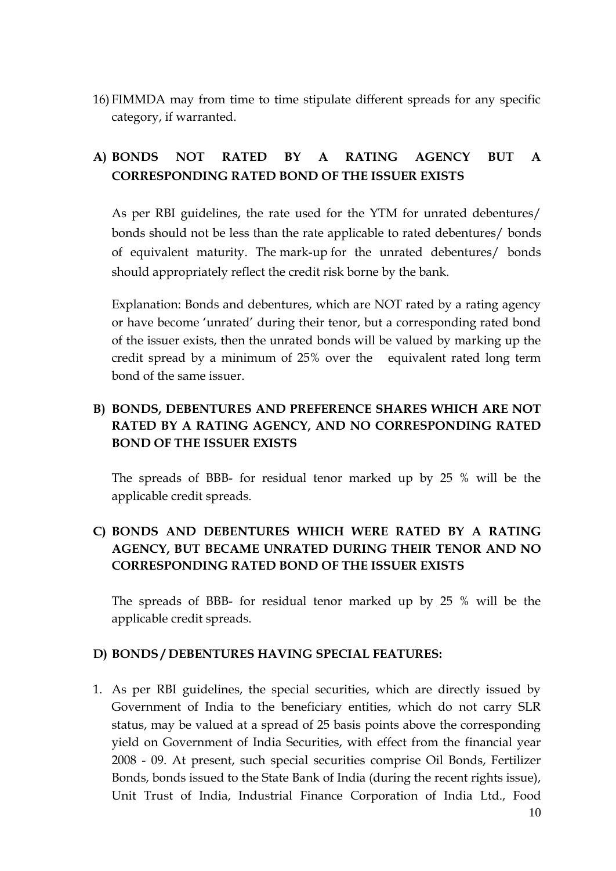16) FIMMDA may from time to time stipulate different spreads for any specific category, if warranted.

# **A) BONDS NOT RATED BY A RATING AGENCY BUT A CORRESPONDING RATED BOND OF THE ISSUER EXISTS**

As per RBI guidelines, the rate used for the YTM for unrated debentures/ bonds should not be less than the rate applicable to rated debentures/ bonds of equivalent maturity. The mark-up for the unrated debentures/ bonds should appropriately reflect the credit risk borne by the bank.

Explanation: Bonds and debentures, which are NOT rated by a rating agency or have become 'unrated' during their tenor, but a corresponding rated bond of the issuer exists, then the unrated bonds will be valued by marking up the credit spread by a minimum of 25% over the equivalent rated long term bond of the same issuer.

# **B) BONDS, DEBENTURES AND PREFERENCE SHARES WHICH ARE NOT RATED BY A RATING AGENCY, AND NO CORRESPONDING RATED BOND OF THE ISSUER EXISTS**

The spreads of BBB- for residual tenor marked up by 25 % will be the applicable credit spreads.

# **C) BONDS AND DEBENTURES WHICH WERE RATED BY A RATING AGENCY, BUT BECAME UNRATED DURING THEIR TENOR AND NO CORRESPONDING RATED BOND OF THE ISSUER EXISTS**

The spreads of BBB- for residual tenor marked up by 25 % will be the applicable credit spreads.

## **D) BONDS / DEBENTURES HAVING SPECIAL FEATURES:**

1. As per RBI guidelines, the special securities, which are directly issued by Government of India to the beneficiary entities, which do not carry SLR status, may be valued at a spread of 25 basis points above the corresponding yield on Government of India Securities, with effect from the financial year 2008 - 09. At present, such special securities comprise Oil Bonds, Fertilizer Bonds, bonds issued to the State Bank of India (during the recent rights issue), Unit Trust of India, Industrial Finance Corporation of India Ltd., Food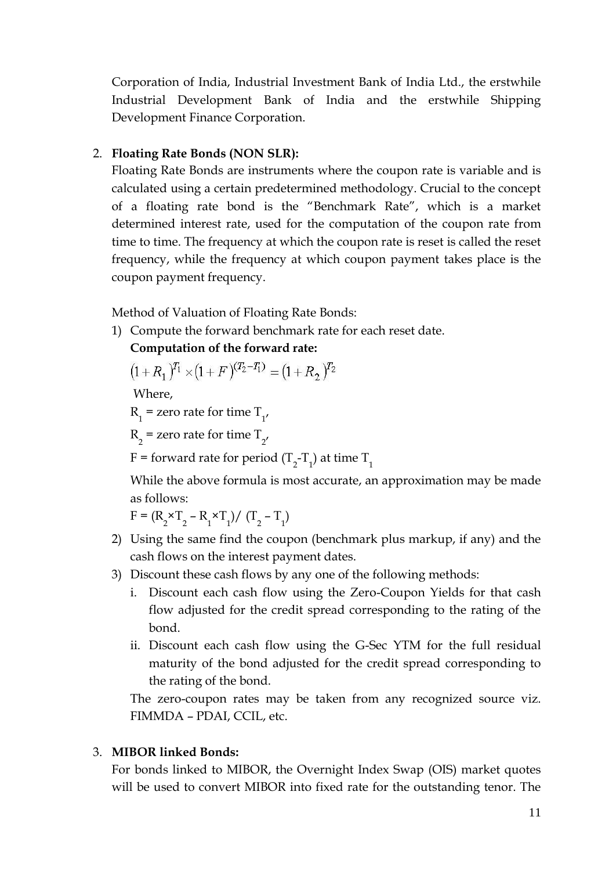Corporation of India, Industrial Investment Bank of India Ltd., the erstwhile Industrial Development Bank of India and the erstwhile Shipping Development Finance Corporation.

### 2. **Floating Rate Bonds (NON SLR):**

Floating Rate Bonds are instruments where the coupon rate is variable and is calculated using a certain predetermined methodology. Crucial to the concept of a floating rate bond is the "Benchmark Rate", which is a market determined interest rate, used for the computation of the coupon rate from time to time. The frequency at which the coupon rate is reset is called the reset frequency, while the frequency at which coupon payment takes place is the coupon payment frequency.

Method of Valuation of Floating Rate Bonds:

1) Compute the forward benchmark rate for each reset date.

### **Computation of the forward rate:**

$$
(1+R_1)^{T_1} \times (1+F)^{(T_2-T_1)} = (1+R_2)^{T_2}
$$

Where,

 $R_1$  = zero rate for time  $T_{1'}$ 

 $R_2$  = zero rate for time  $T_{2'}$ 

F = forward rate for period (T<sub>2</sub>-T<sub>1</sub>) at time T<sub>1</sub>

While the above formula is most accurate, an approximation may be made as follows:

 $F = (R_2 \times T_2 - R_1 \times T_1) / (T_2 - T_1)$ 

- 2) Using the same find the coupon (benchmark plus markup, if any) and the cash flows on the interest payment dates.
- 3) Discount these cash flows by any one of the following methods:
	- i. Discount each cash flow using the Zero-Coupon Yields for that cash flow adjusted for the credit spread corresponding to the rating of the bond.
	- ii. Discount each cash flow using the G-Sec YTM for the full residual maturity of the bond adjusted for the credit spread corresponding to the rating of the bond.

The zero-coupon rates may be taken from any recognized source viz. FIMMDA – PDAI, CCIL, etc.

### 3. **MIBOR linked Bonds:**

For bonds linked to MIBOR, the Overnight Index Swap (OIS) market quotes will be used to convert MIBOR into fixed rate for the outstanding tenor. The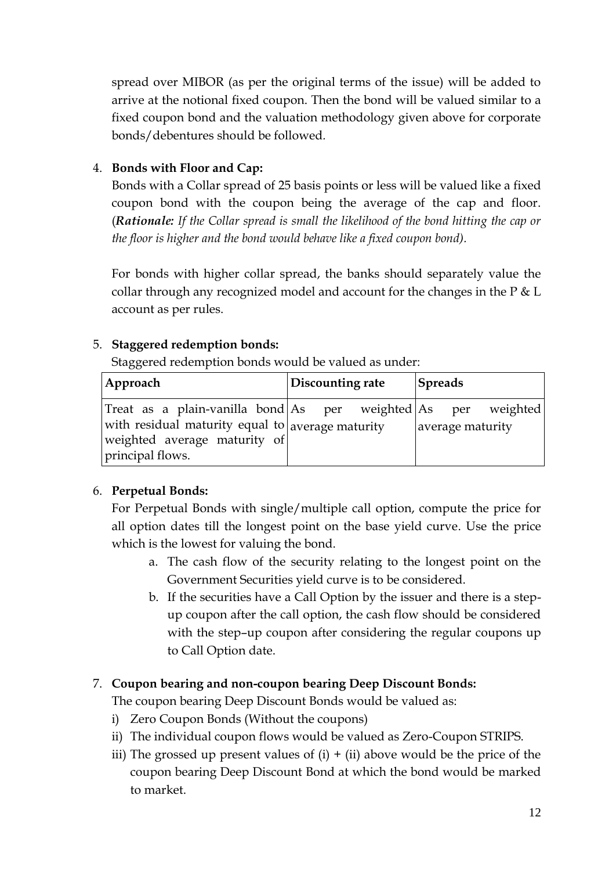spread over MIBOR (as per the original terms of the issue) will be added to arrive at the notional fixed coupon. Then the bond will be valued similar to a fixed coupon bond and the valuation methodology given above for corporate bonds/debentures should be followed*.* 

# 4. **Bonds with Floor and Cap:**

Bonds with a Collar spread of 25 basis points or less will be valued like a fixed coupon bond with the coupon being the average of the cap and floor. (*Rationale: If the Collar spread is small the likelihood of the bond hitting the cap or the floor is higher and the bond would behave like a fixed coupon bond).* 

For bonds with higher collar spread, the banks should separately value the collar through any recognized model and account for the changes in the  $P \& L$ account as per rules.

# 5. **Staggered redemption bonds:**

Staggered redemption bonds would be valued as under:

| Approach                                                                                                                                          | Discounting rate | <b>Spreads</b>   |  |
|---------------------------------------------------------------------------------------------------------------------------------------------------|------------------|------------------|--|
| Treat as a plain-vanilla bond As per weighted As per weighted<br>with residual maturity equal to average maturity<br>weighted average maturity of |                  | average maturity |  |
| principal flows.                                                                                                                                  |                  |                  |  |

# 6. **Perpetual Bonds:**

For Perpetual Bonds with single/multiple call option, compute the price for all option dates till the longest point on the base yield curve. Use the price which is the lowest for valuing the bond.

- a. The cash flow of the security relating to the longest point on the Government Securities yield curve is to be considered.
- b. If the securities have a Call Option by the issuer and there is a stepup coupon after the call option, the cash flow should be considered with the step–up coupon after considering the regular coupons up to Call Option date.

# 7. **Coupon bearing and non-coupon bearing Deep Discount Bonds:**

The coupon bearing Deep Discount Bonds would be valued as:

- i) Zero Coupon Bonds (Without the coupons)
- ii) The individual coupon flows would be valued as Zero-Coupon STRIPS.
- iii) The grossed up present values of  $(i) + (ii)$  above would be the price of the coupon bearing Deep Discount Bond at which the bond would be marked to market.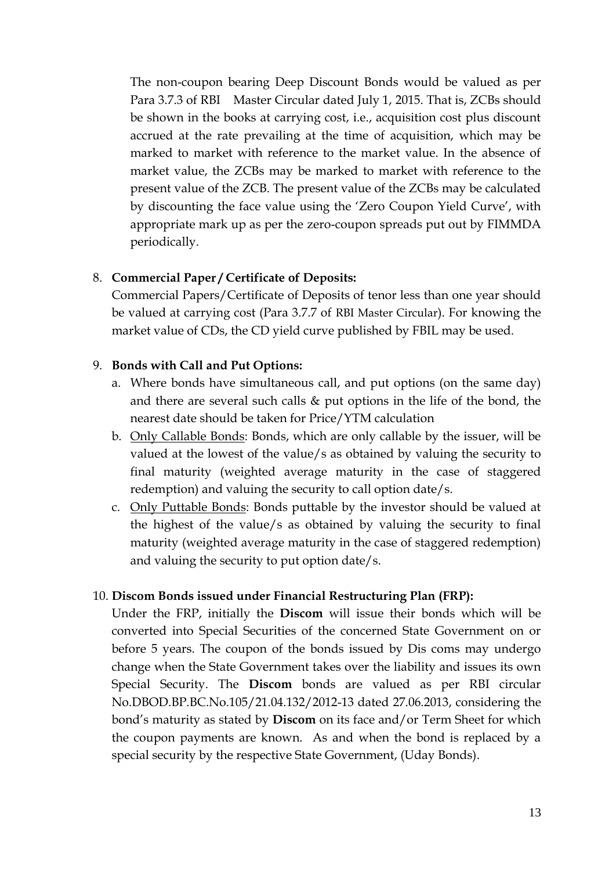The non-coupon bearing Deep Discount Bonds would be valued as per Para 3.7.3 of RBI Master Circular dated July 1, 2015. That is, ZCBs should be shown in the books at carrying cost, i.e., acquisition cost plus discount accrued at the rate prevailing at the time of acquisition, which may be marked to market with reference to the market value. In the absence of market value, the ZCBs may be marked to market with reference to the present value of the ZCB. The present value of the ZCBs may be calculated by discounting the face value using the 'Zero Coupon Yield Curve', with appropriate mark up as per the zero-coupon spreads put out by FIMMDA periodically.

### 8. **Commercial Paper / Certificate of Deposits:**

Commercial Papers/Certificate of Deposits of tenor less than one year should be valued at carrying cost (Para 3.7.7 of RBI Master Circular). For knowing the market value of CDs, the CD yield curve published by FBIL may be used.

### 9. **Bonds with Call and Put Options:**

- a. Where bonds have simultaneous call, and put options (on the same day) and there are several such calls & put options in the life of the bond, the nearest date should be taken for Price/YTM calculation
- b. Only Callable Bonds: Bonds, which are only callable by the issuer, will be valued at the lowest of the value/s as obtained by valuing the security to final maturity (weighted average maturity in the case of staggered redemption) and valuing the security to call option date/s.
- c. Only Puttable Bonds: Bonds puttable by the investor should be valued at the highest of the value/s as obtained by valuing the security to final maturity (weighted average maturity in the case of staggered redemption) and valuing the security to put option date/s.

### 10. **Discom Bonds issued under Financial Restructuring Plan (FRP):**

Under the FRP, initially the **Discom** will issue their bonds which will be converted into Special Securities of the concerned State Government on or before 5 years. The coupon of the bonds issued by Dis coms may undergo change when the State Government takes over the liability and issues its own Special Security. The **Discom** bonds are valued as per RBI circular No.DBOD.BP.BC.No.105/21.04.132/2012-13 dated 27.06.2013, considering the bond's maturity as stated by **Discom** on its face and/or Term Sheet for which the coupon payments are known. As and when the bond is replaced by a special security by the respective State Government, (Uday Bonds).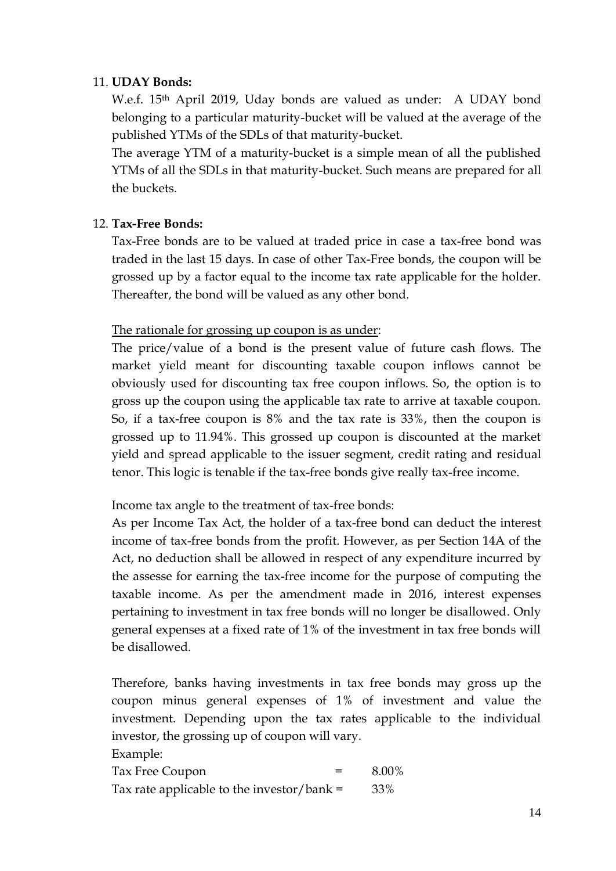### 11. **UDAY Bonds:**

W.e.f. 15th April 2019, Uday bonds are valued as under: A UDAY bond belonging to a particular maturity-bucket will be valued at the average of the published YTMs of the SDLs of that maturity-bucket.

The average YTM of a maturity-bucket is a simple mean of all the published YTMs of all the SDLs in that maturity-bucket. Such means are prepared for all the buckets.

## 12. **Tax-Free Bonds:**

Tax-Free bonds are to be valued at traded price in case a tax-free bond was traded in the last 15 days. In case of other Tax-Free bonds, the coupon will be grossed up by a factor equal to the income tax rate applicable for the holder. Thereafter, the bond will be valued as any other bond.

## The rationale for grossing up coupon is as under:

The price/value of a bond is the present value of future cash flows. The market yield meant for discounting taxable coupon inflows cannot be obviously used for discounting tax free coupon inflows. So, the option is to gross up the coupon using the applicable tax rate to arrive at taxable coupon. So, if a tax-free coupon is 8% and the tax rate is 33%, then the coupon is grossed up to 11.94%. This grossed up coupon is discounted at the market yield and spread applicable to the issuer segment, credit rating and residual tenor. This logic is tenable if the tax-free bonds give really tax-free income.

Income tax angle to the treatment of tax-free bonds:

As per Income Tax Act, the holder of a tax-free bond can deduct the interest income of tax-free bonds from the profit. However, as per Section 14A of the Act, no deduction shall be allowed in respect of any expenditure incurred by the assesse for earning the tax-free income for the purpose of computing the taxable income. As per the amendment made in 2016, interest expenses pertaining to investment in tax free bonds will no longer be disallowed. Only general expenses at a fixed rate of 1% of the investment in tax free bonds will be disallowed.

Therefore, banks having investments in tax free bonds may gross up the coupon minus general expenses of 1% of investment and value the investment. Depending upon the tax rates applicable to the individual investor, the grossing up of coupon will vary.

Example:

Tax Free Coupon  $=$  8.00% Tax rate applicable to the investor/bank =  $33\%$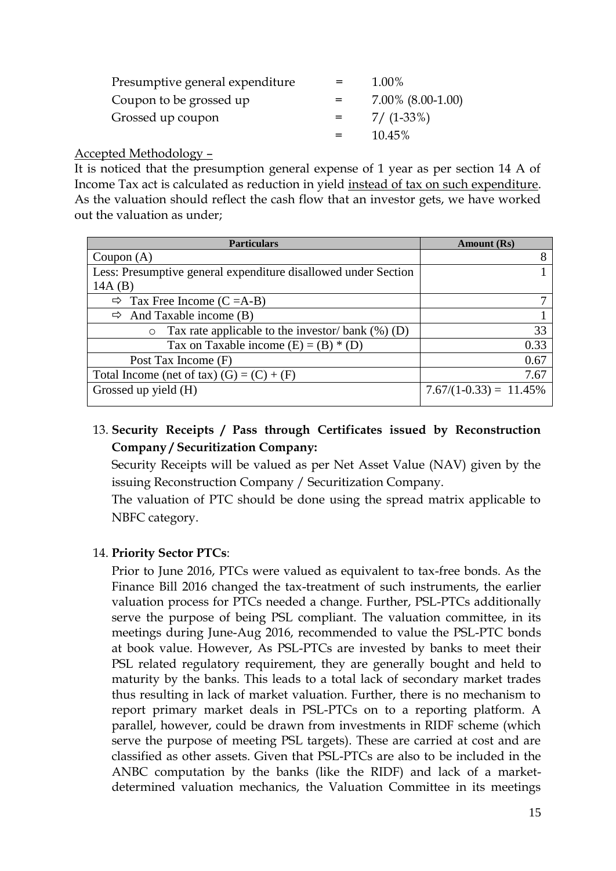| Presumptive general expenditure |     | 1.00%             |
|---------------------------------|-----|-------------------|
| Coupon to be grossed up         |     | 7.00% (8.00-1.00) |
| Grossed up coupon               | $=$ | $7/$ (1-33%)      |
|                                 |     | 10.45%            |

Accepted Methodology –

It is noticed that the presumption general expense of 1 year as per section 14 A of Income Tax act is calculated as reduction in yield instead of tax on such expenditure. As the valuation should reflect the cash flow that an investor gets, we have worked out the valuation as under;

| <b>Particulars</b>                                              | Amount (Rs)               |
|-----------------------------------------------------------------|---------------------------|
| Coupon $(A)$                                                    | 8                         |
| Less: Presumptive general expenditure disallowed under Section  |                           |
| 14A(B)                                                          |                           |
| $\Rightarrow$ Tax Free Income (C = A-B)                         |                           |
| $\Rightarrow$ And Taxable income (B)                            |                           |
| Tax rate applicable to the investor/ bank $(\%)$ (D)<br>$\circ$ | 33                        |
| Tax on Taxable income $(E) = (B) * (D)$                         | 0.33                      |
| Post Tax Income (F)                                             | 0.67                      |
| Total Income (net of tax) $(G) = (C) + (F)$                     | 7.67                      |
| Grossed up yield (H)                                            | $7.67/(1-0.33) = 11.45\%$ |

# 13. **Security Receipts / Pass through Certificates issued by Reconstruction Company / Securitization Company:**

Security Receipts will be valued as per Net Asset Value (NAV) given by the issuing Reconstruction Company / Securitization Company.

The valuation of PTC should be done using the spread matrix applicable to NBFC category.

## 14. **Priority Sector PTCs**:

Prior to June 2016, PTCs were valued as equivalent to tax-free bonds. As the Finance Bill 2016 changed the tax-treatment of such instruments, the earlier valuation process for PTCs needed a change. Further, PSL-PTCs additionally serve the purpose of being PSL compliant. The valuation committee, in its meetings during June-Aug 2016, recommended to value the PSL-PTC bonds at book value. However, As PSL-PTCs are invested by banks to meet their PSL related regulatory requirement, they are generally bought and held to maturity by the banks. This leads to a total lack of secondary market trades thus resulting in lack of market valuation. Further, there is no mechanism to report primary market deals in PSL-PTCs on to a reporting platform. A parallel, however, could be drawn from investments in RIDF scheme (which serve the purpose of meeting PSL targets). These are carried at cost and are classified as other assets. Given that PSL-PTCs are also to be included in the ANBC computation by the banks (like the RIDF) and lack of a marketdetermined valuation mechanics, the Valuation Committee in its meetings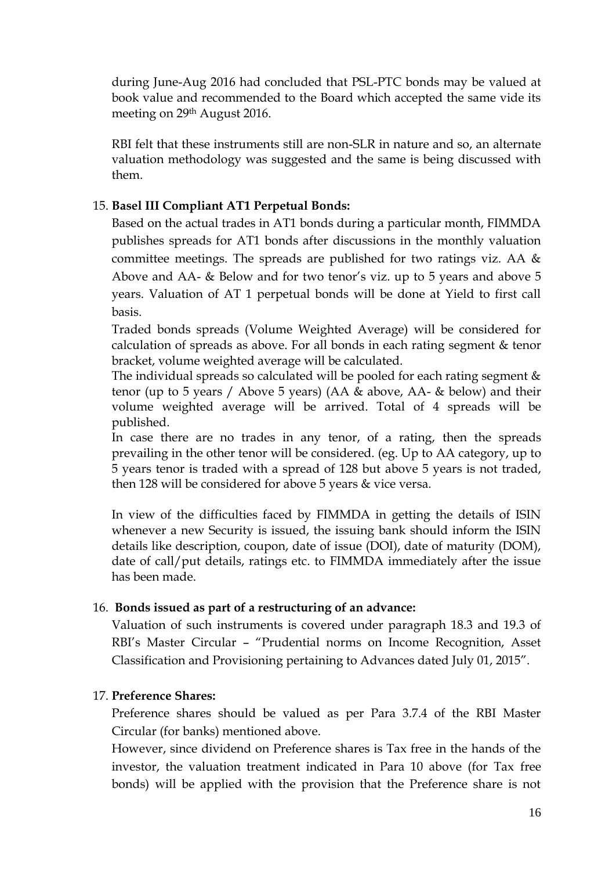during June-Aug 2016 had concluded that PSL-PTC bonds may be valued at book value and recommended to the Board which accepted the same vide its meeting on 29th August 2016.

RBI felt that these instruments still are non-SLR in nature and so, an alternate valuation methodology was suggested and the same is being discussed with them.

### 15. **Basel III Compliant AT1 Perpetual Bonds:**

Based on the actual trades in AT1 bonds during a particular month, FIMMDA publishes spreads for AT1 bonds after discussions in the monthly valuation committee meetings. The spreads are published for two ratings viz. AA & Above and AA- & Below and for two tenor's viz. up to 5 years and above 5 years. Valuation of AT 1 perpetual bonds will be done at Yield to first call basis.

Traded bonds spreads (Volume Weighted Average) will be considered for calculation of spreads as above. For all bonds in each rating segment & tenor bracket, volume weighted average will be calculated.

The individual spreads so calculated will be pooled for each rating segment & tenor (up to 5 years / Above 5 years) (AA & above, AA- & below) and their volume weighted average will be arrived. Total of 4 spreads will be published.

In case there are no trades in any tenor, of a rating, then the spreads prevailing in the other tenor will be considered. (eg. Up to AA category, up to 5 years tenor is traded with a spread of 128 but above 5 years is not traded, then 128 will be considered for above 5 years & vice versa.

In view of the difficulties faced by FIMMDA in getting the details of ISIN whenever a new Security is issued, the issuing bank should inform the ISIN details like description, coupon, date of issue (DOI), date of maturity (DOM), date of call/put details, ratings etc. to FIMMDA immediately after the issue has been made.

### 16. **Bonds issued as part of a restructuring of an advance:**

Valuation of such instruments is covered under paragraph 18.3 and 19.3 of RBI's Master Circular – "Prudential norms on Income Recognition, Asset Classification and Provisioning pertaining to Advances dated July 01, 2015".

### 17. **Preference Shares:**

Preference shares should be valued as per Para 3.7.4 of the RBI Master Circular (for banks) mentioned above.

However, since dividend on Preference shares is Tax free in the hands of the investor, the valuation treatment indicated in Para 10 above (for Tax free bonds) will be applied with the provision that the Preference share is not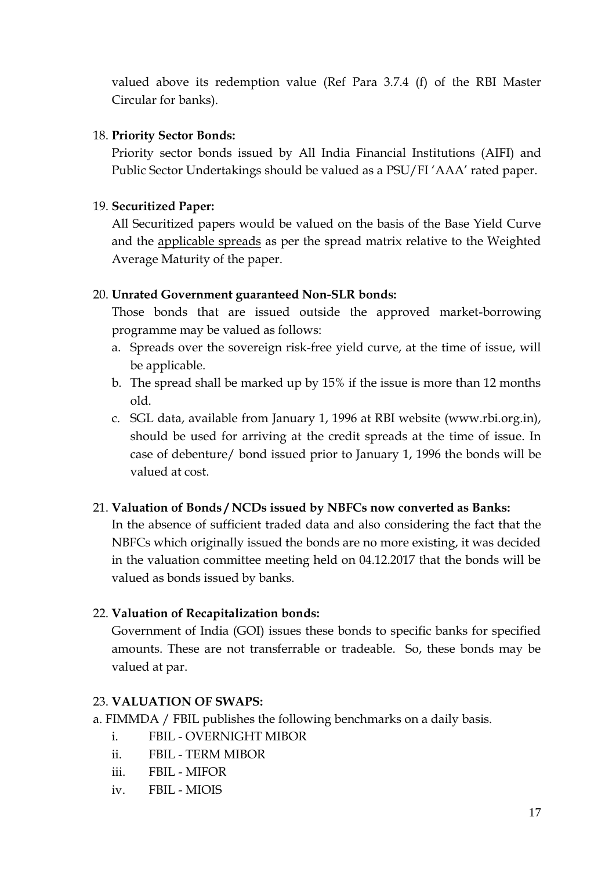valued above its redemption value (Ref Para 3.7.4 (f) of the RBI Master Circular for banks).

### 18. **Priority Sector Bonds:**

Priority sector bonds issued by All India Financial Institutions (AIFI) and Public Sector Undertakings should be valued as a PSU/FI 'AAA' rated paper.

## 19. **Securitized Paper:**

All Securitized papers would be valued on the basis of the Base Yield Curve and the applicable spreads as per the spread matrix relative to the Weighted Average Maturity of the paper.

### 20. **Unrated Government guaranteed Non-SLR bonds:**

Those bonds that are issued outside the approved market-borrowing programme may be valued as follows:

- a. Spreads over the sovereign risk-free yield curve, at the time of issue, will be applicable.
- b. The spread shall be marked up by 15% if the issue is more than 12 months old.
- c. SGL data, available from January 1, 1996 at RBI website (www.rbi.org.in), should be used for arriving at the credit spreads at the time of issue. In case of debenture/ bond issued prior to January 1, 1996 the bonds will be valued at cost.

## 21. **Valuation of Bonds / NCDs issued by NBFCs now converted as Banks:**

In the absence of sufficient traded data and also considering the fact that the NBFCs which originally issued the bonds are no more existing, it was decided in the valuation committee meeting held on 04.12.2017 that the bonds will be valued as bonds issued by banks.

## 22. **Valuation of Recapitalization bonds:**

Government of India (GOI) issues these bonds to specific banks for specified amounts. These are not transferrable or tradeable. So, these bonds may be valued at par.

### 23. **VALUATION OF SWAPS:**

- a. FIMMDA / FBIL publishes the following benchmarks on a daily basis.
	- i. FBIL OVERNIGHT MIBOR
	- ii. FBIL TERM MIBOR
	- iii. FBIL MIFOR
	- iv. FBIL MIOIS